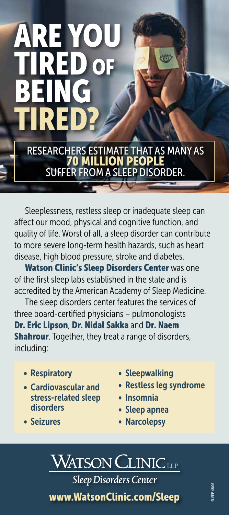## ARE YOU TIRED OF 做 BEING TIRED? RESEARCHERS ESTIMATE THAT AS MANY AS 70 MILLION PEOPLE SUFFER FROM A SLEEP DISORDER.

Sleeplessness, restless sleep or inadequate sleep can affect our mood, physical and cognitive function, and quality of life. Worst of all, a sleep disorder can contribute to more severe long-term health hazards, such as heart disease, high blood pressure, stroke and diabetes.

Watson Clinic's Sleep Disorders Center was one of the first sleep labs established in the state and is accredited by the American Academy of Sleep Medicine.

The sleep disorders center features the services of three board-certified physicians – pulmonologists Dr. Eric Lipson, Dr. Nidal Sakka and Dr. Naem **Shahrour**. Together, they treat a range of disorders, including:

• Respiratory

• Seizures

- Cardiovascular and stress-related sleep disorders
- Sleepwalking
- Restless leg syndrome
- Insomnia
- Sleep apnea
- Narcolepsy

## WATSON CLINIC LLP **Sleep Disorders Center**

www.WatsonClinic.com/Sleep